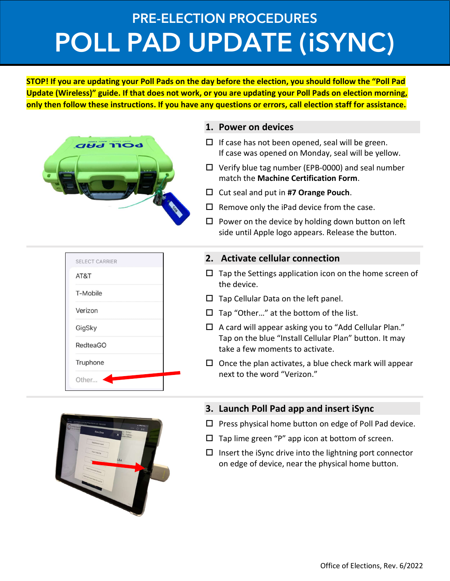# PRE-ELECTION PROCEDURES POLL PAD UPDATE (iSYNC)

STOP! If you are updating your Poll Pads on the day before the election, you should follow the "Poll Pad Update (Wireless)" guide. If that does not work, or you are updating your Poll Pads on election morning, only then follow these instructions. If you have any questions or errors, call election staff for assistance.



SELECT CARRIER

AT&T

T-Mobile

Verizon

GigSky

**RedteaGO** 

Truphone

Other...

|  |  | If case was opened on Monday, seal will be yellow. |   |  |  |
|--|--|----------------------------------------------------|---|--|--|
|  |  |                                                    | . |  |  |

1. Power on devices

 $\Box$  Verify blue tag number (EPB-0000) and seal number match the Machine Certification Form.

 $\Box$  If case has not been opened, seal will be green.

- $\Box$  Cut seal and put in #7 Orange Pouch.
- $\Box$  Remove only the iPad device from the case.
- $\square$  Power on the device by holding down button on left side until Apple logo appears. Release the button.

### 2. Activate cellular connection

- $\Box$  Tap the Settings application icon on the home screen of the device.
- $\square$  Tap Cellular Data on the left panel.
- $\Box$  Tap "Other..." at the bottom of the list.
- $\Box$  A card will appear asking you to "Add Cellular Plan." Tap on the blue "Install Cellular Plan" button. It may take a few moments to activate.
- $\square$  Once the plan activates, a blue check mark will appear next to the word "Verizon."



### 3. Launch Poll Pad app and insert iSync

- $\Box$  Press physical home button on edge of Poll Pad device.
- $\Box$  Tap lime green "P" app icon at bottom of screen.
- $\Box$  Insert the iSync drive into the lightning port connector on edge of device, near the physical home button.